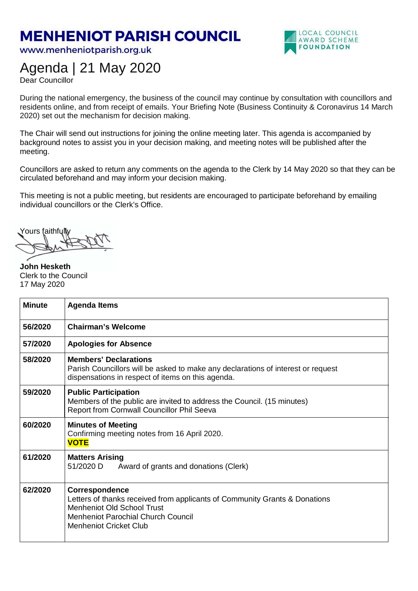## **MENHENIOT PARISH COUNCIL**

www.menheniotparish.org.uk



## Agenda | 21 May 2020

Dear Councillor

During the national emergency, the business of the council may continue by consultation with councillors and residents online, and from receipt of emails. Your Briefing Note (Business Continuity & Coronavirus 14 March 2020) set out the mechanism for decision making.

The Chair will send out instructions for joining the online meeting later. This agenda is accompanied by background notes to assist you in your decision making, and meeting notes will be published after the meeting.

Councillors are asked to return any comments on the agenda to the Clerk by 14 May 2020 so that they can be circulated beforehand and may inform your decision making.

This meeting is not a public meeting, but residents are encouraged to participate beforehand by emailing individual councillors or the Clerk's Office.

Yours faithfully

**John Hesketh**  Clerk to the Council 17 May 2020

| <b>Minute</b> | <b>Agenda Items</b>                                                                                                                                                                                             |  |  |  |  |
|---------------|-----------------------------------------------------------------------------------------------------------------------------------------------------------------------------------------------------------------|--|--|--|--|
| 56/2020       | <b>Chairman's Welcome</b>                                                                                                                                                                                       |  |  |  |  |
| 57/2020       | <b>Apologies for Absence</b>                                                                                                                                                                                    |  |  |  |  |
| 58/2020       | <b>Members' Declarations</b><br>Parish Councillors will be asked to make any declarations of interest or request<br>dispensations in respect of items on this agenda.                                           |  |  |  |  |
| 59/2020       | <b>Public Participation</b><br>Members of the public are invited to address the Council. (15 minutes)<br>Report from Cornwall Councillor Phil Seeva                                                             |  |  |  |  |
| 60/2020       | <b>Minutes of Meeting</b><br>Confirming meeting notes from 16 April 2020.<br><b>VOTE</b>                                                                                                                        |  |  |  |  |
| 61/2020       | <b>Matters Arising</b><br>51/2020 D<br>Award of grants and donations (Clerk)                                                                                                                                    |  |  |  |  |
| 62/2020       | Correspondence<br>Letters of thanks received from applicants of Community Grants & Donations<br><b>Menheniot Old School Trust</b><br><b>Menheniot Parochial Church Council</b><br><b>Menheniot Cricket Club</b> |  |  |  |  |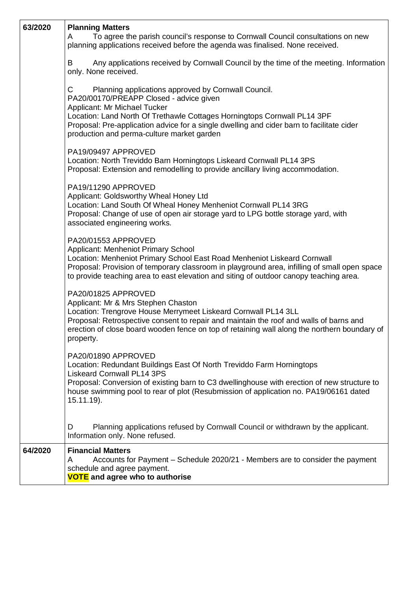| 63/2020 | <b>Planning Matters</b><br>To agree the parish council's response to Cornwall Council consultations on new<br>A<br>planning applications received before the agenda was finalised. None received.                                                                                                                                                          |  |  |  |  |
|---------|------------------------------------------------------------------------------------------------------------------------------------------------------------------------------------------------------------------------------------------------------------------------------------------------------------------------------------------------------------|--|--|--|--|
|         | Any applications received by Cornwall Council by the time of the meeting. Information<br>B<br>only. None received.                                                                                                                                                                                                                                         |  |  |  |  |
|         | С<br>Planning applications approved by Cornwall Council.<br>PA20/00170/PREAPP Closed - advice given<br>Applicant: Mr Michael Tucker<br>Location: Land North Of Trethawle Cottages Horningtops Cornwall PL14 3PF<br>Proposal: Pre-application advice for a single dwelling and cider barn to facilitate cider<br>production and perma-culture market garden |  |  |  |  |
|         | PA19/09497 APPROVED<br>Location: North Treviddo Barn Horningtops Liskeard Cornwall PL14 3PS<br>Proposal: Extension and remodelling to provide ancillary living accommodation.                                                                                                                                                                              |  |  |  |  |
|         | PA19/11290 APPROVED<br>Applicant: Goldsworthy Wheal Honey Ltd<br>Location: Land South Of Wheal Honey Menheniot Cornwall PL14 3RG<br>Proposal: Change of use of open air storage yard to LPG bottle storage yard, with<br>associated engineering works.                                                                                                     |  |  |  |  |
|         | PA20/01553 APPROVED<br>Applicant: Menheniot Primary School<br>Location: Menheniot Primary School East Road Menheniot Liskeard Cornwall<br>Proposal: Provision of temporary classroom in playground area, infilling of small open space<br>to provide teaching area to east elevation and siting of outdoor canopy teaching area.                           |  |  |  |  |
|         | PA20/01825 APPROVED<br>Applicant: Mr & Mrs Stephen Chaston<br>Location: Trengrove House Merrymeet Liskeard Cornwall PL14 3LL<br>Proposal: Retrospective consent to repair and maintain the roof and walls of barns and<br>erection of close board wooden fence on top of retaining wall along the northern boundary of<br>property.                        |  |  |  |  |
|         | PA20/01890 APPROVED<br>Location: Redundant Buildings East Of North Treviddo Farm Horningtops<br><b>Liskeard Cornwall PL14 3PS</b><br>Proposal: Conversion of existing barn to C3 dwellinghouse with erection of new structure to<br>house swimming pool to rear of plot (Resubmission of application no. PA19/06161 dated<br>$15.11.19$ ).                 |  |  |  |  |
|         | Planning applications refused by Cornwall Council or withdrawn by the applicant.<br>D<br>Information only. None refused.                                                                                                                                                                                                                                   |  |  |  |  |
| 64/2020 | <b>Financial Matters</b><br>Accounts for Payment - Schedule 2020/21 - Members are to consider the payment<br>A<br>schedule and agree payment.<br><b>VOTE</b> and agree who to authorise                                                                                                                                                                    |  |  |  |  |